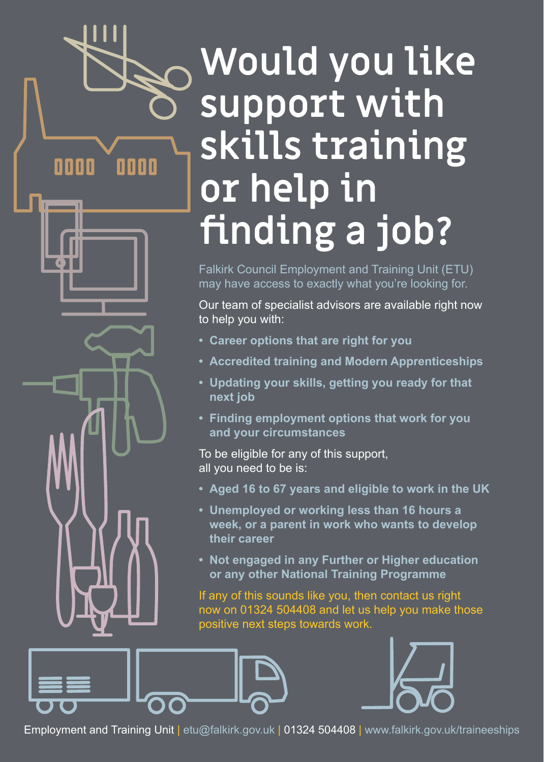# **Would you like support with skills training or help in finding a job?**

0000

0000

Falkirk Council Employment and Training Unit (ETU) may have access to exactly what you're looking for.

Our team of specialist advisors are available right now to help you with:

- **Career options that are right for you**
- **Accredited training and Modern Apprenticeships**
- **Updating your skills, getting you ready for that next job**
- **Finding employment options that work for you and your circumstances**

To be eligible for any of this support, all you need to be is:

- **Aged 16 to 67 years and eligible to work in the UK**
- **Unemployed or working less than 16 hours a week, or a parent in work who wants to develop their career**
- **Not engaged in any Further or Higher education or any other National Training Programme**

If any of this sounds like you, then contact us right now on 01324 504408 and let us help you make those positive next steps towards work.